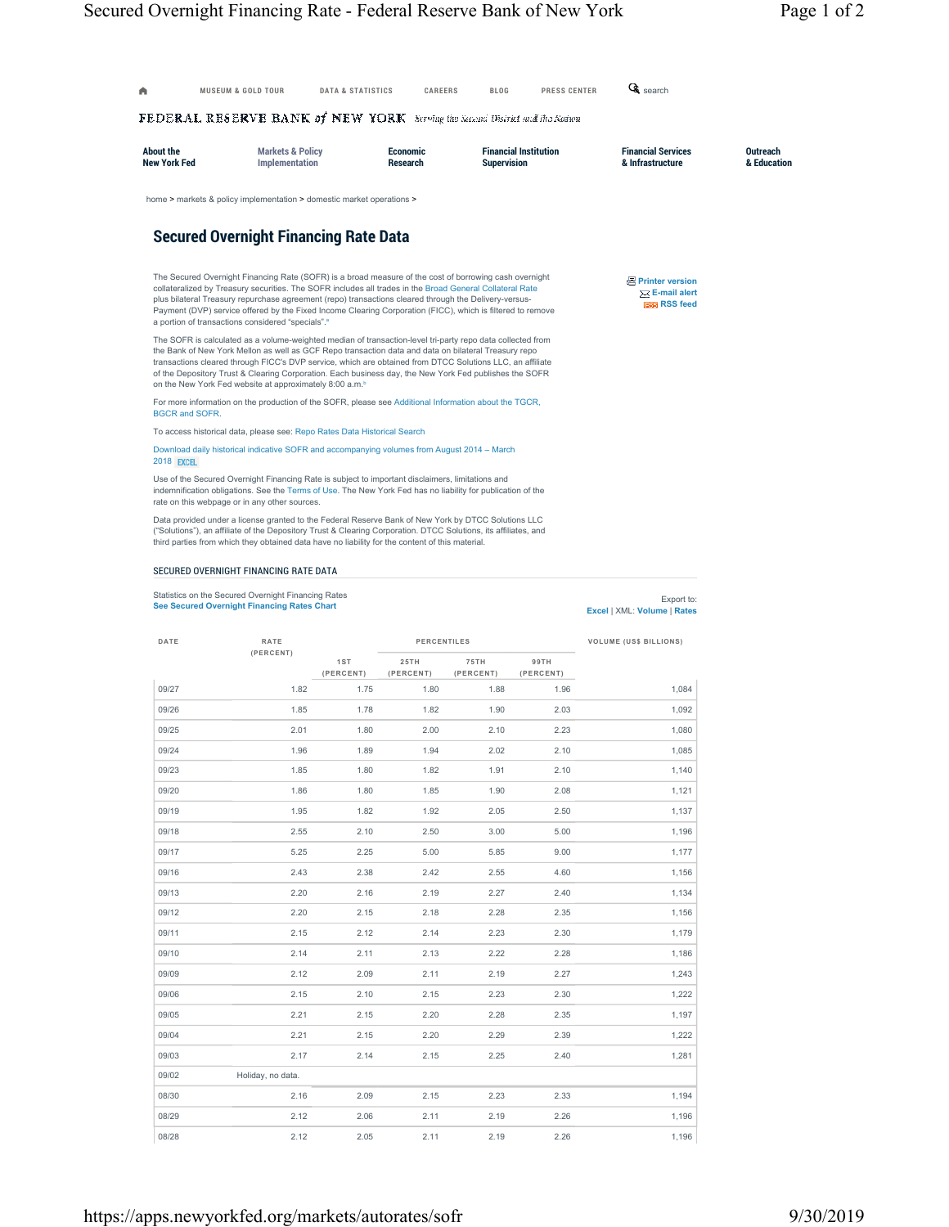|                                       | $\tt{FEDERAL}$ RESERVE BANK of NEW YORK . Serving the Second District and Ite Address                                                                                                                                                                                                                                                                                                                                                                                                                            |              |                      |                    |                              |                                                                             |                                |
|---------------------------------------|------------------------------------------------------------------------------------------------------------------------------------------------------------------------------------------------------------------------------------------------------------------------------------------------------------------------------------------------------------------------------------------------------------------------------------------------------------------------------------------------------------------|--------------|----------------------|--------------------|------------------------------|-----------------------------------------------------------------------------|--------------------------------|
| About the<br><b>New York Fed</b>      | <b>Markets &amp; Policy</b><br>Implementation                                                                                                                                                                                                                                                                                                                                                                                                                                                                    |              | Economic<br>Research | <b>Supervision</b> | <b>Financial Institution</b> | <b>Financial Services</b><br>& Infrastructure                               | <b>Outreach</b><br>& Education |
|                                       | home > markets & policy implementation > domestic market operations >                                                                                                                                                                                                                                                                                                                                                                                                                                            |              |                      |                    |                              |                                                                             |                                |
|                                       | <b>Secured Overnight Financing Rate Data</b>                                                                                                                                                                                                                                                                                                                                                                                                                                                                     |              |                      |                    |                              |                                                                             |                                |
|                                       | The Secured Overnight Financing Rate (SOFR) is a broad measure of the cost of borrowing cash overnight<br>collateralized by Treasury securities. The SOFR includes all trades in the Broad General Collateral Rate<br>plus bilateral Treasury repurchase agreement (repo) transactions cleared through the Delivery-versus-<br>Payment (DVP) service offered by the Fixed Income Clearing Corporation (FICC), which is filtered to remove<br>a portion of transactions considered "specials". <sup>a</sup>       |              |                      |                    |                              | <b>A</b> Printer version<br>$\boxtimes$ E-mail alert<br><b>ESS</b> RSS feed |                                |
|                                       | The SOFR is calculated as a volume-weighted median of transaction-level tri-party repo data collected from<br>the Bank of New York Mellon as well as GCF Repo transaction data and data on bilateral Treasury repo<br>transactions cleared through FICC's DVP service, which are obtained from DTCC Solutions LLC, an affiliate<br>of the Depository Trust & Clearing Corporation. Each business day, the New York Fed publishes the SOFR<br>on the New York Fed website at approximately 8:00 a.m. <sup>b</sup> |              |                      |                    |                              |                                                                             |                                |
|                                       | For more information on the production of the SOFR, please see Additional Information about the TGCR,                                                                                                                                                                                                                                                                                                                                                                                                            |              |                      |                    |                              |                                                                             |                                |
| <b>BGCR and SOFR.</b>                 |                                                                                                                                                                                                                                                                                                                                                                                                                                                                                                                  |              |                      |                    |                              |                                                                             |                                |
|                                       | To access historical data, please see: Repo Rates Data Historical Search                                                                                                                                                                                                                                                                                                                                                                                                                                         |              |                      |                    |                              |                                                                             |                                |
| <b>2018 EXCEL</b>                     | Download daily historical indicative SOFR and accompanying volumes from August 2014 - March                                                                                                                                                                                                                                                                                                                                                                                                                      |              |                      |                    |                              |                                                                             |                                |
|                                       | Use of the Secured Overnight Financing Rate is subject to important disclaimers, limitations and<br>indemnification obligations. See the Terms of Use. The New York Fed has no liability for publication of the<br>rate on this webpage or in any other sources.                                                                                                                                                                                                                                                 |              |                      |                    |                              |                                                                             |                                |
|                                       | Data provided under a license granted to the Federal Reserve Bank of New York by DTCC Solutions LLC<br>("Solutions"), an affiliate of the Depository Trust & Clearing Corporation. DTCC Solutions, its affiliates, and                                                                                                                                                                                                                                                                                           |              |                      |                    |                              |                                                                             |                                |
|                                       | third parties from which they obtained data have no liability for the content of this material.                                                                                                                                                                                                                                                                                                                                                                                                                  |              |                      |                    |                              |                                                                             |                                |
| SECURED OVERNIGHT FINANCING RATE DATA |                                                                                                                                                                                                                                                                                                                                                                                                                                                                                                                  |              |                      |                    |                              |                                                                             |                                |
|                                       |                                                                                                                                                                                                                                                                                                                                                                                                                                                                                                                  |              |                      |                    |                              |                                                                             |                                |
|                                       | Statistics on the Secured Overnight Financing Rates                                                                                                                                                                                                                                                                                                                                                                                                                                                              |              |                      |                    |                              |                                                                             |                                |
|                                       | <b>See Secured Overnight Financing Rates Chart</b>                                                                                                                                                                                                                                                                                                                                                                                                                                                               |              |                      |                    |                              | Export to:<br>Excel   XML: Volume   Rates                                   |                                |
| DATE                                  | RATE                                                                                                                                                                                                                                                                                                                                                                                                                                                                                                             |              | <b>PERCENTILES</b>   |                    |                              | <b>VOLUME (US\$ BILLIONS)</b>                                               |                                |
|                                       | (PERCENT)                                                                                                                                                                                                                                                                                                                                                                                                                                                                                                        | 1ST          | 25TH                 | 75TH               | 99TH                         |                                                                             |                                |
|                                       |                                                                                                                                                                                                                                                                                                                                                                                                                                                                                                                  | (PERCENT)    | (PERCENT)            | (PERCENT)          | (PERCENT)                    |                                                                             |                                |
| 09/27                                 | 1.82                                                                                                                                                                                                                                                                                                                                                                                                                                                                                                             | 1.75         | 1.80                 | 1.88               | 1.96                         | 1,084                                                                       |                                |
| 09/26                                 | 1.85                                                                                                                                                                                                                                                                                                                                                                                                                                                                                                             | 1.78         | 1.82                 | 1.90               | 2.03                         | 1,092                                                                       |                                |
| 09/25                                 | 2.01                                                                                                                                                                                                                                                                                                                                                                                                                                                                                                             | 1.80         | 2.00                 | 2.10               | 2.23                         | 1,080                                                                       |                                |
| 09/24                                 | 1.96                                                                                                                                                                                                                                                                                                                                                                                                                                                                                                             | 1.89         | 1.94                 | 2.02               | 2.10                         | 1,085                                                                       |                                |
| 09/23                                 | 1.85                                                                                                                                                                                                                                                                                                                                                                                                                                                                                                             | 1.80         | 1.82                 | 1.91               | 2.10                         | 1.140                                                                       |                                |
| 09/20                                 | 1.86                                                                                                                                                                                                                                                                                                                                                                                                                                                                                                             | 1.80         | 1.85                 | 1.90               | 2.08                         | 1,121                                                                       |                                |
| 09/19                                 | 1.95                                                                                                                                                                                                                                                                                                                                                                                                                                                                                                             | 1.82         | 1.92                 | 2.05               | 2.50                         | 1,137                                                                       |                                |
| 09/18                                 | 2.55                                                                                                                                                                                                                                                                                                                                                                                                                                                                                                             | 2.10         | 2.50                 | 3.00               | 5.00                         | 1,196                                                                       |                                |
| 09/17                                 | 5.25                                                                                                                                                                                                                                                                                                                                                                                                                                                                                                             | 2.25         | 5.00                 | 5.85               | 9.00                         | 1,177                                                                       |                                |
| 09/16                                 | 2.43                                                                                                                                                                                                                                                                                                                                                                                                                                                                                                             | 2.38         | 2.42                 | 2.55               | 4.60                         | 1,156                                                                       |                                |
| 09/13                                 | 2.20                                                                                                                                                                                                                                                                                                                                                                                                                                                                                                             | 2.16         | 2.19                 | 2.27               | 2.40                         | 1,134                                                                       |                                |
| 09/12<br>09/11                        | 2.20<br>2.15                                                                                                                                                                                                                                                                                                                                                                                                                                                                                                     | 2.15<br>2.12 | 2.18<br>2.14         | 2.28<br>2.23       | 2.35<br>2.30                 | 1,156                                                                       |                                |
|                                       |                                                                                                                                                                                                                                                                                                                                                                                                                                                                                                                  |              |                      |                    |                              | 1,179                                                                       |                                |
| 09/10                                 | 2.14                                                                                                                                                                                                                                                                                                                                                                                                                                                                                                             | 2.11         | 2.13                 | 2.22               | 2.28                         | 1,186                                                                       |                                |
| 09/09                                 | 2.12                                                                                                                                                                                                                                                                                                                                                                                                                                                                                                             | 2.09         | 2.11                 | 2.19               | 2.27                         | 1,243                                                                       |                                |
| 09/06                                 | 2.15                                                                                                                                                                                                                                                                                                                                                                                                                                                                                                             | 2.10         | 2.15                 | 2.23               | 2.30                         | 1,222                                                                       |                                |
| 09/05                                 | 2.21                                                                                                                                                                                                                                                                                                                                                                                                                                                                                                             | 2.15         | 2.20                 | 2.28               | 2.35                         | 1,197                                                                       |                                |
| 09/04                                 | 2.21                                                                                                                                                                                                                                                                                                                                                                                                                                                                                                             | 2.15         | 2.20                 | 2.29               | 2.39                         | 1,222                                                                       |                                |
| 09/03                                 | 2.17                                                                                                                                                                                                                                                                                                                                                                                                                                                                                                             | 2.14         | 2.15                 | 2.25               | 2.40                         | 1,281                                                                       |                                |
| 09/02<br>08/30                        | Holiday, no data.<br>2.16                                                                                                                                                                                                                                                                                                                                                                                                                                                                                        | 2.09         | 2.15                 | 2.23               | 2.33                         | 1,194                                                                       |                                |

08/28 2.12 2.05 2.11 2.19 2.26 1,196